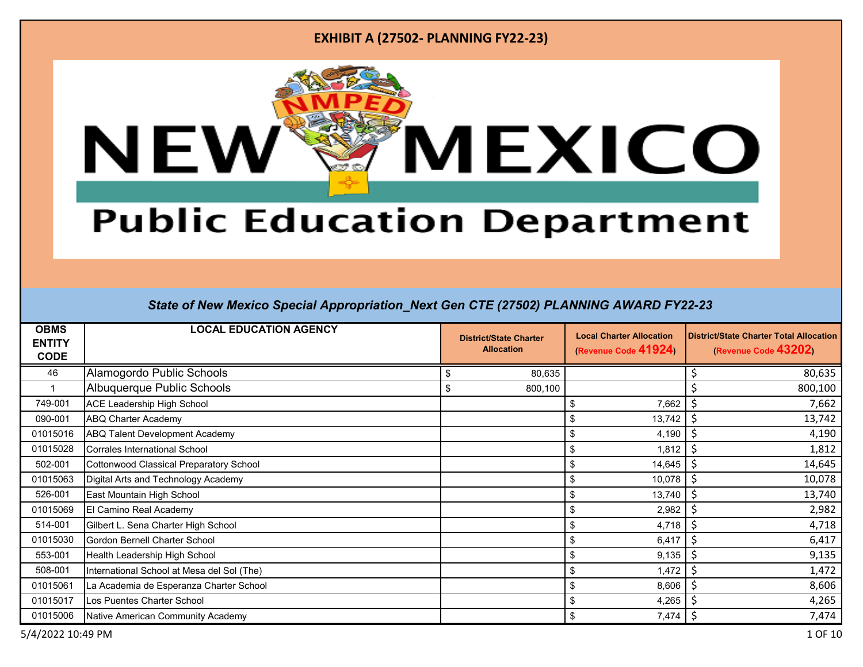

# **Public Education Department**

| <b>OBMS</b><br><b>ENTITY</b><br><b>CODE</b> | <b>LOCAL EDUCATION AGENCY</b>                  | <b>Local Charter Allocation</b><br><b>District/State Charter</b><br>(Revenue Code 41924)<br><b>Allocation</b> |              | <b>District/State Charter Total Allocation</b><br>(Revenue Code 43202) |  |
|---------------------------------------------|------------------------------------------------|---------------------------------------------------------------------------------------------------------------|--------------|------------------------------------------------------------------------|--|
| 46                                          | Alamogordo Public Schools                      | 80,635<br>Ŝ                                                                                                   |              | 80,635                                                                 |  |
|                                             | Albuquerque Public Schools                     | Ŝ.<br>800,100                                                                                                 |              | 800,100                                                                |  |
| 749-001                                     | <b>ACE Leadership High School</b>              |                                                                                                               | 7,662<br>\$  | 7,662                                                                  |  |
| 090-001                                     | <b>ABQ Charter Academy</b>                     |                                                                                                               | 13,742<br>\$ | 13,742                                                                 |  |
| 01015016                                    | <b>ABQ Talent Development Academy</b>          |                                                                                                               | 4,190        | 4,190                                                                  |  |
| 01015028                                    | <b>Corrales International School</b>           |                                                                                                               | 1,812        | 1,812                                                                  |  |
| 502-001                                     | <b>Cottonwood Classical Preparatory School</b> |                                                                                                               | \$<br>14,645 | 14,645                                                                 |  |
| 01015063                                    | Digital Arts and Technology Academy            |                                                                                                               | 10,078<br>\$ | 10,078                                                                 |  |
| 526-001                                     | East Mountain High School                      |                                                                                                               | \$<br>13,740 | 13,740                                                                 |  |
| 01015069                                    | El Camino Real Academy                         |                                                                                                               | 2,982<br>\$  | 2,982                                                                  |  |
| 514-001                                     | Gilbert L. Sena Charter High School            |                                                                                                               | 4,718<br>\$  | 4,718                                                                  |  |
| 01015030                                    | Gordon Bernell Charter School                  |                                                                                                               | 6,417<br>\$  | 6,417                                                                  |  |
| 553-001                                     | Health Leadership High School                  |                                                                                                               | 9,135<br>\$  | 9,135                                                                  |  |
| 508-001                                     | International School at Mesa del Sol (The)     |                                                                                                               | \$<br>1,472  | 1,472                                                                  |  |
| 01015061                                    | La Academia de Esperanza Charter School        |                                                                                                               | 8,606<br>\$  | 8,606                                                                  |  |
| 01015017                                    | Los Puentes Charter School                     |                                                                                                               | 4,265<br>\$  | 4,265                                                                  |  |
| 01015006                                    | Native American Community Academy              |                                                                                                               | \$<br>7,474  | 7,474                                                                  |  |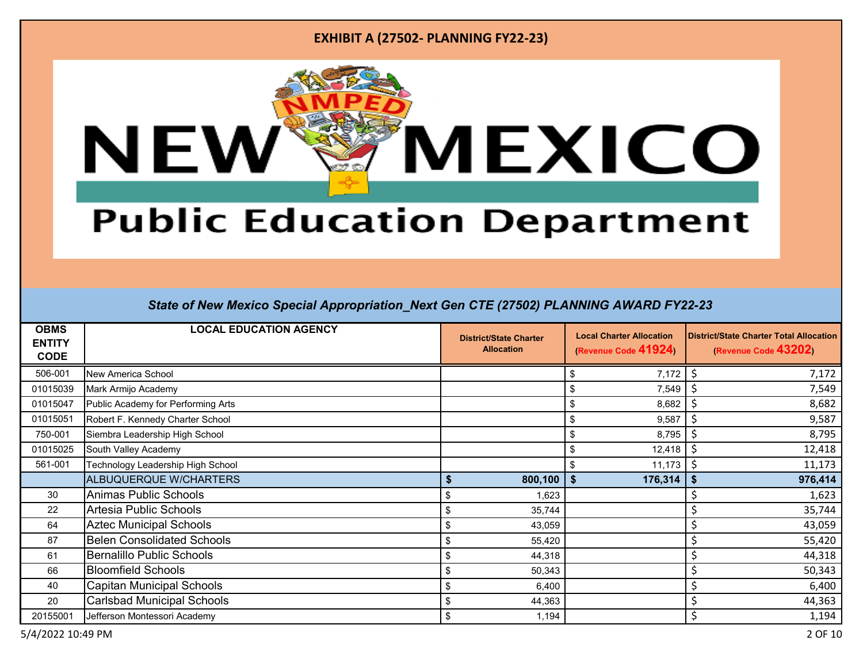

# **Public Education Department**

| <b>OBMS</b><br><b>ENTITY</b><br><b>CODE</b> | <b>LOCAL EDUCATION AGENCY</b>      | <b>District/State Charter</b><br><b>Allocation</b> | <b>Local Charter Allocation</b><br>(Revenue Code 41924) | District/State Charter Total Allocation<br>(Revenue Code 43202) |
|---------------------------------------------|------------------------------------|----------------------------------------------------|---------------------------------------------------------|-----------------------------------------------------------------|
| 506-001                                     | New America School                 |                                                    | 7,172<br>\$                                             | 7,172<br>S                                                      |
| 01015039                                    | Mark Armijo Academy                |                                                    | \$<br>7,549                                             | 7,549                                                           |
| 01015047                                    | Public Academy for Performing Arts |                                                    | -\$<br>8,682                                            | 8,682<br>S                                                      |
| 01015051                                    | Robert F. Kennedy Charter School   |                                                    | \$<br>9,587                                             | 9,587<br>\$,                                                    |
| 750-001                                     | Siembra Leadership High School     |                                                    | 8,795<br>\$                                             | 8,795                                                           |
| 01015025                                    | South Valley Academy               |                                                    | 12,418<br>\$                                            | 12,418<br>S                                                     |
| 561-001                                     | Technology Leadership High School  |                                                    | 11,173<br>\$                                            | 11,173                                                          |
|                                             | ALBUQUERQUE W/CHARTERS             | $800,100$ \$                                       | 176,314                                                 | 976,414<br>\$                                                   |
| 30                                          | <b>Animas Public Schools</b>       | S<br>1,623                                         |                                                         | 1,623                                                           |
| 22                                          | Artesia Public Schools             | \$<br>35,744                                       |                                                         | 35,744                                                          |
| 64                                          | <b>Aztec Municipal Schools</b>     | \$<br>43,059                                       |                                                         | 43,059                                                          |
| 87                                          | <b>Belen Consolidated Schools</b>  | S<br>55,420                                        |                                                         | 55,420                                                          |
| 61                                          | <b>Bernalillo Public Schools</b>   | Ŝ.<br>44,318                                       |                                                         | 44,318                                                          |
| 66                                          | <b>Bloomfield Schools</b>          | \$<br>50,343                                       |                                                         | 50,343                                                          |
| 40                                          | Capitan Municipal Schools          | \$<br>6,400                                        |                                                         | 6,400                                                           |
| 20                                          | <b>Carlsbad Municipal Schools</b>  | \$<br>44,363                                       |                                                         | 44,363                                                          |
| 20155001                                    | Jefferson Montessori Academy       | \$<br>1,194                                        |                                                         | Ś<br>1,194                                                      |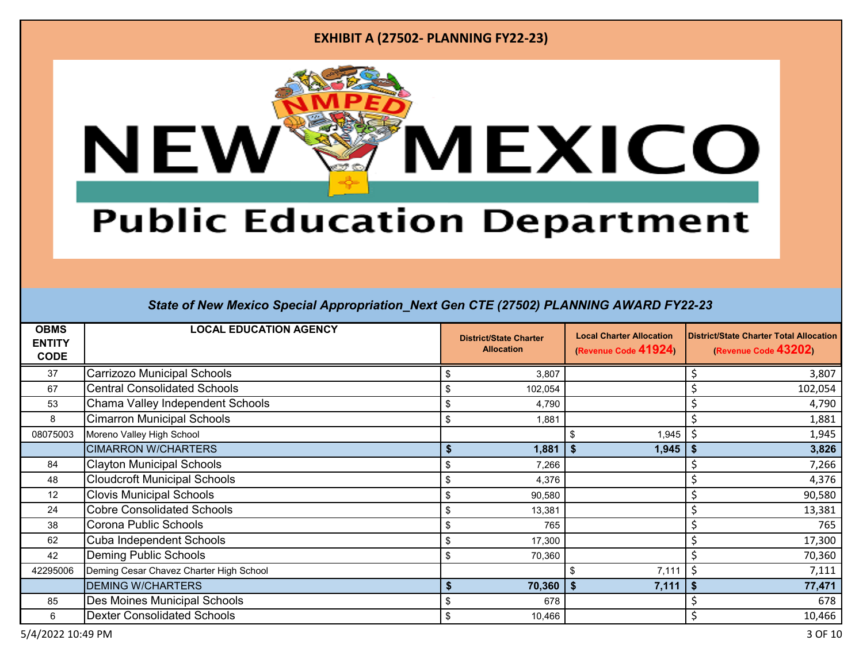

# **Public Education Department**

| <b>OBMS</b><br><b>ENTITY</b><br><b>CODE</b> | <b>LOCAL EDUCATION AGENCY</b>           |                    | <b>District/State Charter</b><br><b>Allocation</b> | <b>Local Charter Allocation</b><br>(Revenue Code 41924) |    | <b>District/State Charter Total Allocation</b><br>(Revenue Code 43202) |  |
|---------------------------------------------|-----------------------------------------|--------------------|----------------------------------------------------|---------------------------------------------------------|----|------------------------------------------------------------------------|--|
| 37                                          | Carrizozo Municipal Schools             | S                  | 3,807                                              |                                                         |    | 3,807                                                                  |  |
| 67                                          | <b>Central Consolidated Schools</b>     | \$                 | 102,054                                            |                                                         |    | 102,054                                                                |  |
| 53                                          | Chama Valley Independent Schools        | \$                 | 4,790                                              |                                                         |    | 4,790                                                                  |  |
| 8                                           | <b>Cimarron Municipal Schools</b>       | \$                 | 1,881                                              |                                                         |    | 1,881                                                                  |  |
| 08075003                                    | Moreno Valley High School               |                    |                                                    | 1,945                                                   |    | 1,945                                                                  |  |
|                                             | <b>CIMARRON W/CHARTERS</b>              | $\mathbf{\hat{s}}$ | 1,881                                              | 1,945                                                   | \$ | 3,826                                                                  |  |
| 84                                          | <b>Clayton Municipal Schools</b>        | \$                 | 7,266                                              |                                                         |    | 7,266                                                                  |  |
| 48                                          | <b>Cloudcroft Municipal Schools</b>     | \$                 | 4,376                                              |                                                         |    | 4,376                                                                  |  |
| $12 \overline{ }$                           | <b>Clovis Municipal Schools</b>         | \$                 | 90,580                                             |                                                         |    | 90,580                                                                 |  |
| 24                                          | <b>Cobre Consolidated Schools</b>       | \$                 | 13,381                                             |                                                         |    | 13,381                                                                 |  |
| 38                                          | Corona Public Schools                   | \$                 | 765                                                |                                                         |    | 765                                                                    |  |
| 62                                          | Cuba Independent Schools                | \$                 | 17,300                                             |                                                         |    | 17,300                                                                 |  |
| 42                                          | <b>Deming Public Schools</b>            | \$                 | 70,360                                             |                                                         |    | 70,360                                                                 |  |
| 42295006                                    | Deming Cesar Chavez Charter High School |                    |                                                    | 7,111                                                   |    | 7,111                                                                  |  |
|                                             | <b>DEMING W/CHARTERS</b>                | $\mathbf{\hat{f}}$ | 70,360                                             | 7,111                                                   | \$ | 77,471                                                                 |  |
| 85                                          | Des Moines Municipal Schools            | \$                 | 678                                                |                                                         |    | 678                                                                    |  |
| 6                                           | <b>Dexter Consolidated Schools</b>      | \$                 | 10,466                                             |                                                         |    | 10,466                                                                 |  |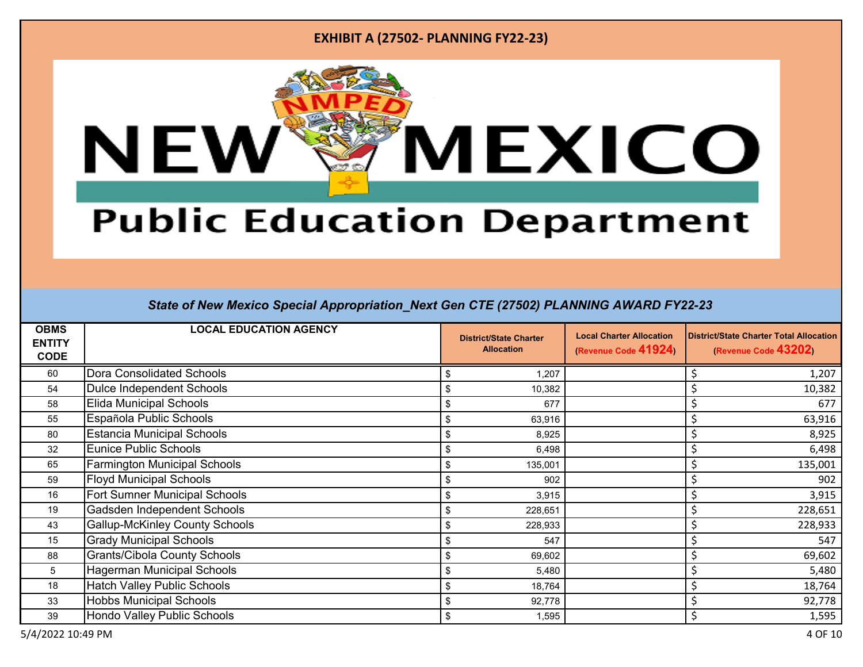

# **Public Education Department**

| <b>OBMS</b><br><b>ENTITY</b><br><b>CODE</b> | <b>LOCAL EDUCATION AGENCY</b>         | <b>Local Charter Allocation</b><br><b>District/State Charter</b><br>(Revenue Code 41924)<br><b>Allocation</b> |  | <b>District/State Charter Total Allocation</b><br>(Revenue Code 43202) |
|---------------------------------------------|---------------------------------------|---------------------------------------------------------------------------------------------------------------|--|------------------------------------------------------------------------|
| 60                                          | Dora Consolidated Schools             | 1,207<br>Ŝ.                                                                                                   |  | 1,207                                                                  |
| 54                                          | <b>Dulce Independent Schools</b>      | 10,382<br>Ŝ.                                                                                                  |  | 10,382                                                                 |
| 58                                          | <b>Elida Municipal Schools</b>        | Ŝ.<br>677                                                                                                     |  | 677                                                                    |
| 55                                          | Española Public Schools               | \$<br>63,916                                                                                                  |  | 63,916                                                                 |
| 80                                          | <b>Estancia Municipal Schools</b>     | 8,925<br>\$                                                                                                   |  | 8,925                                                                  |
| 32                                          | Eunice Public Schools                 | \$<br>6,498                                                                                                   |  | 6,498                                                                  |
| 65                                          | <b>Farmington Municipal Schools</b>   | \$<br>135,001                                                                                                 |  | 135,001                                                                |
| 59                                          | <b>Floyd Municipal Schools</b>        | \$<br>902                                                                                                     |  | 902                                                                    |
| 16                                          | <b>Fort Sumner Municipal Schools</b>  | \$<br>3,915                                                                                                   |  | 3,915                                                                  |
| 19                                          | Gadsden Independent Schools           | \$<br>228,651                                                                                                 |  | 228,651                                                                |
| 43                                          | <b>Gallup-McKinley County Schools</b> | \$<br>228,933                                                                                                 |  | 228,933                                                                |
| 15                                          | <b>Grady Municipal Schools</b>        | \$<br>547                                                                                                     |  | 547                                                                    |
| 88                                          | <b>Grants/Cibola County Schools</b>   | \$<br>69,602                                                                                                  |  | 69,602                                                                 |
| 5                                           | <b>Hagerman Municipal Schools</b>     | \$<br>5,480                                                                                                   |  | 5,480                                                                  |
| 18                                          | <b>Hatch Valley Public Schools</b>    | 18,764<br>\$                                                                                                  |  | 18,764                                                                 |
| 33                                          | <b>Hobbs Municipal Schools</b>        | 92,778<br>\$                                                                                                  |  | 92,778                                                                 |
| 39                                          | Hondo Valley Public Schools           | \$<br>1,595                                                                                                   |  | 1,595                                                                  |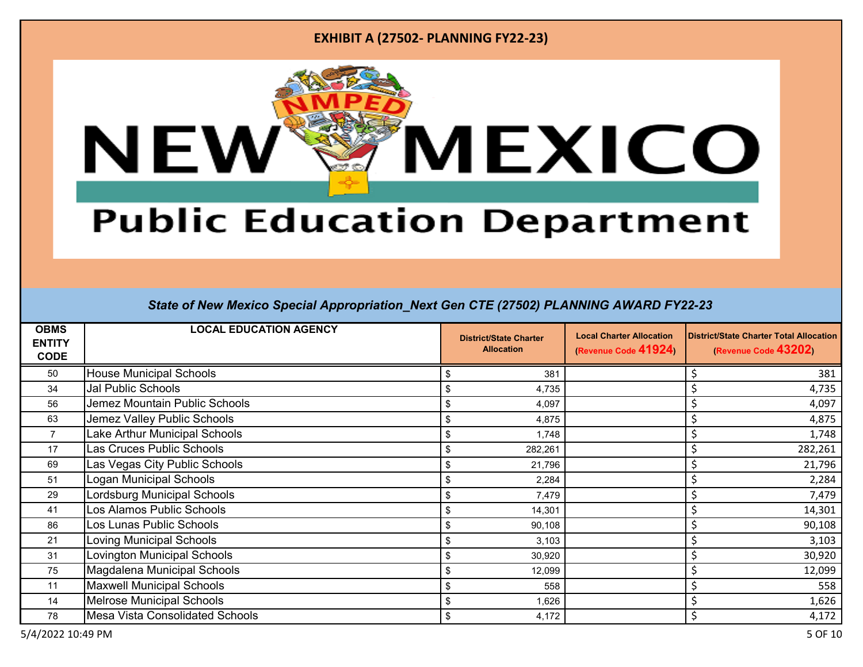

# **Public Education Department**

| <b>OBMS</b><br><b>ENTITY</b><br><b>CODE</b> | <b>LOCAL EDUCATION AGENCY</b>          | <b>District/State Charter</b><br><b>Allocation</b> | <b>Local Charter Allocation</b><br>(Revenue Code 41924) | <b>District/State Charter Total Allocation</b><br>(Revenue Code 43202) |
|---------------------------------------------|----------------------------------------|----------------------------------------------------|---------------------------------------------------------|------------------------------------------------------------------------|
| 50                                          | <b>House Municipal Schools</b>         | 381<br>ß.                                          |                                                         | 381                                                                    |
| 34                                          | Jal Public Schools                     | 4,735<br>Ŝ                                         |                                                         | 4,735                                                                  |
| 56                                          | Jemez Mountain Public Schools          | 4,097<br>\$                                        |                                                         | 4,097                                                                  |
| 63                                          | Jemez Valley Public Schools            | \$<br>4,875                                        |                                                         | 4,875                                                                  |
| $\overline{7}$                              | Lake Arthur Municipal Schools          | 1,748<br>\$                                        |                                                         | 1,748                                                                  |
| 17                                          | Las Cruces Public Schools              | \$<br>282,261                                      |                                                         | 282,261                                                                |
| 69                                          | Las Vegas City Public Schools          | \$<br>21,796                                       |                                                         | 21,796                                                                 |
| 51                                          | Logan Municipal Schools                | \$<br>2,284                                        |                                                         | 2,284                                                                  |
| 29                                          | Lordsburg Municipal Schools            | \$<br>7,479                                        |                                                         | 7,479                                                                  |
| 41                                          | Los Alamos Public Schools              | \$<br>14,301                                       |                                                         | 14,301                                                                 |
| 86                                          | Los Lunas Public Schools               | \$<br>90,108                                       |                                                         | 90,108                                                                 |
| 21                                          | Loving Municipal Schools               | \$<br>3,103                                        |                                                         | 3,103                                                                  |
| 31                                          | Lovington Municipal Schools            | \$<br>30,920                                       |                                                         | 30,920                                                                 |
| 75                                          | Magdalena Municipal Schools            | \$<br>12,099                                       |                                                         | 12,099                                                                 |
| 11                                          | <b>Maxwell Municipal Schools</b>       | \$<br>558                                          |                                                         | 558                                                                    |
| 14                                          | <b>Melrose Municipal Schools</b>       | 1,626<br>\$                                        |                                                         | 1,626                                                                  |
| 78                                          | <b>Mesa Vista Consolidated Schools</b> | \$<br>4,172                                        |                                                         | 4,172                                                                  |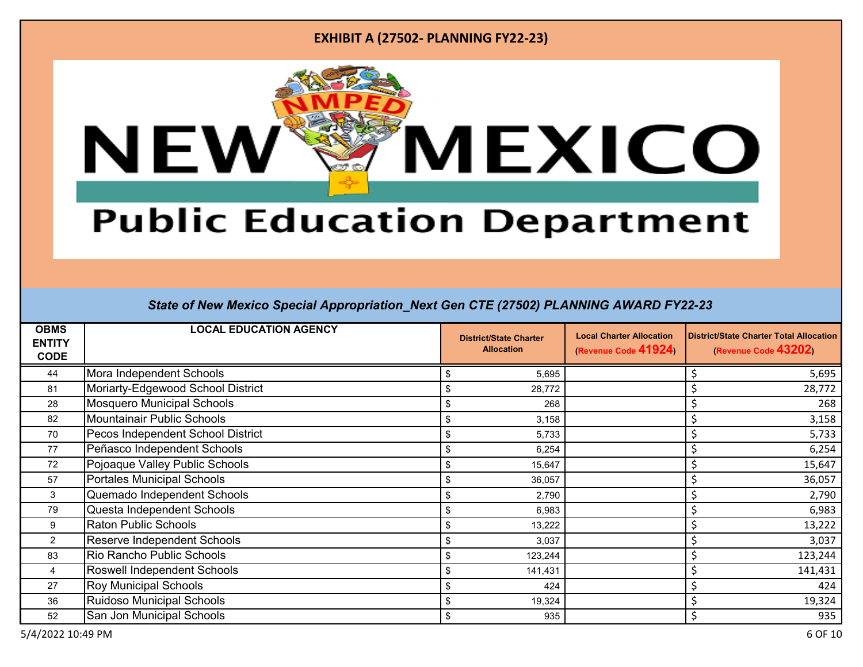

# **Public Education Department**

| <b>OBMS</b><br><b>ENTITY</b><br><b>CODE</b> | <b>LOCAL EDUCATION AGENCY</b>     | <b>Local Charter Allocation</b><br><b>District/State Charter</b><br>(Revenue Code 41924)<br><b>Allocation</b> |  | <b>District/State Charter Total Allocation</b><br>(Revenue Code 43202) |  |
|---------------------------------------------|-----------------------------------|---------------------------------------------------------------------------------------------------------------|--|------------------------------------------------------------------------|--|
| 44                                          | Mora Independent Schools          | 5,695<br>\$                                                                                                   |  | 5,695                                                                  |  |
| 81                                          | Moriarty-Edgewood School District | 28,772<br>\$                                                                                                  |  | 28,772                                                                 |  |
| 28                                          | Mosquero Municipal Schools        | \$<br>268                                                                                                     |  | 268                                                                    |  |
| 82                                          | <b>Mountainair Public Schools</b> | \$<br>3,158                                                                                                   |  | 3,158                                                                  |  |
| 70                                          | Pecos Independent School District | 5,733<br>\$                                                                                                   |  | 5,733                                                                  |  |
| 77                                          | Peñasco Independent Schools       | \$<br>6,254                                                                                                   |  | 6,254                                                                  |  |
| 72                                          | Pojoaque Valley Public Schools    | \$<br>15,647                                                                                                  |  | 15,647                                                                 |  |
| 57                                          | Portales Municipal Schools        | \$<br>36,057                                                                                                  |  | 36,057                                                                 |  |
| 3                                           | Quemado Independent Schools       | \$<br>2,790                                                                                                   |  | 2,790                                                                  |  |
| 79                                          | Questa Independent Schools        | \$<br>6,983                                                                                                   |  | 6,983                                                                  |  |
| 9                                           | <b>Raton Public Schools</b>       | \$<br>13,222                                                                                                  |  | 13,222                                                                 |  |
| $\overline{2}$                              | Reserve Independent Schools       | 3,037<br>\$                                                                                                   |  | 3,037                                                                  |  |
| 83                                          | Rio Rancho Public Schools         | 123,244<br>\$                                                                                                 |  | 123,244                                                                |  |
| 4                                           | Roswell Independent Schools       | \$<br>141,431                                                                                                 |  | 141,431                                                                |  |
| 27                                          | Roy Municipal Schools             | \$<br>424                                                                                                     |  | 424                                                                    |  |
| 36                                          | <b>Ruidoso Municipal Schools</b>  | 19,324<br>\$                                                                                                  |  | 19,324                                                                 |  |
| 52                                          | San Jon Municipal Schools         | \$<br>935                                                                                                     |  | 935                                                                    |  |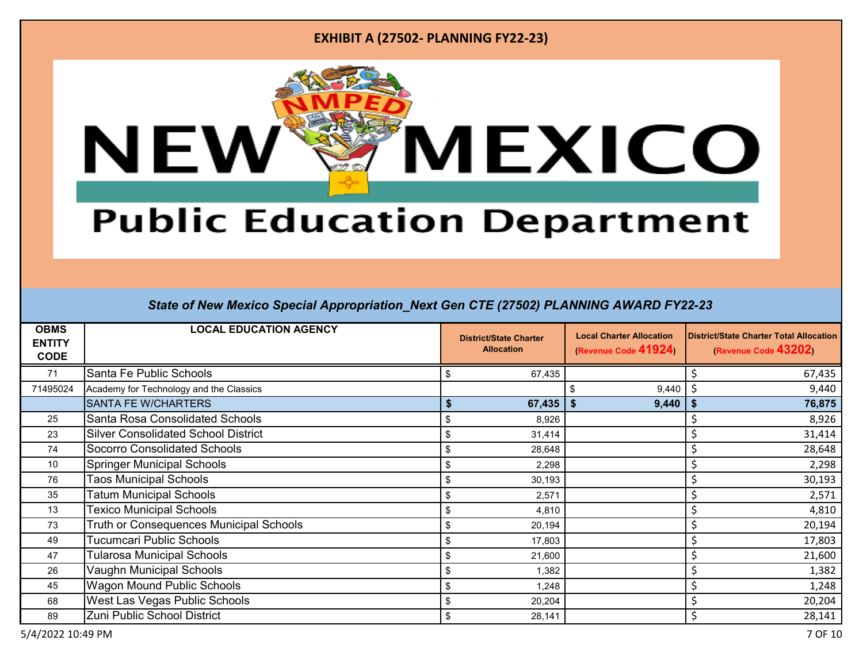

# **Public Education Department**

| <b>OBMS</b><br><b>ENTITY</b><br><b>CODE</b> | <b>LOCAL EDUCATION AGENCY</b>              |    | <b>District/State Charter</b><br><b>Allocation</b> | <b>Local Charter Allocation</b><br>(Revenue Code 41924) |    | <b>District/State Charter Total Allocation</b><br>(Revenue Code 43202) |  |
|---------------------------------------------|--------------------------------------------|----|----------------------------------------------------|---------------------------------------------------------|----|------------------------------------------------------------------------|--|
| 71                                          | Santa Fe Public Schools                    | \$ | 67,435                                             |                                                         |    | 67,435                                                                 |  |
| 71495024                                    | Academy for Technology and the Classics    |    |                                                    | 9,440                                                   |    | 9,440                                                                  |  |
|                                             | <b>SANTA FE W/CHARTERS</b>                 | \$ | 67,435                                             | 9,440                                                   | \$ | 76,875                                                                 |  |
| 25                                          | Santa Rosa Consolidated Schools            | \$ | 8,926                                              |                                                         |    | 8,926                                                                  |  |
| 23                                          | <b>Silver Consolidated School District</b> | \$ | 31,414                                             |                                                         |    | 31,414                                                                 |  |
| 74                                          | Socorro Consolidated Schools               | \$ | 28,648                                             |                                                         |    | 28,648                                                                 |  |
| 10                                          | <b>Springer Municipal Schools</b>          | \$ | 2,298                                              |                                                         |    | 2,298                                                                  |  |
| 76                                          | <b>Taos Municipal Schools</b>              | \$ | 30,193                                             |                                                         |    | 30,193                                                                 |  |
| 35                                          | <b>Tatum Municipal Schools</b>             | \$ | 2,571                                              |                                                         |    | 2,571                                                                  |  |
| 13                                          | <b>Texico Municipal Schools</b>            | \$ | 4,810                                              |                                                         |    | 4,810                                                                  |  |
| 73                                          | Truth or Consequences Municipal Schools    | \$ | 20,194                                             |                                                         |    | 20,194                                                                 |  |
| 49                                          | <b>Tucumcari Public Schools</b>            | \$ | 17,803                                             |                                                         |    | 17,803                                                                 |  |
| 47                                          | Tularosa Municipal Schools                 | \$ | 21,600                                             |                                                         |    | 21,600                                                                 |  |
| 26                                          | Vaughn Municipal Schools                   | ß. | 1,382                                              |                                                         |    | 1,382                                                                  |  |
| 45                                          | Wagon Mound Public Schools                 | \$ | 1,248                                              |                                                         |    | 1,248                                                                  |  |
| 68                                          | <b>West Las Vegas Public Schools</b>       | \$ | 20,204                                             |                                                         |    | 20,204                                                                 |  |
| 89                                          | Zuni Public School District                | \$ | 28,141                                             |                                                         |    | 28,141                                                                 |  |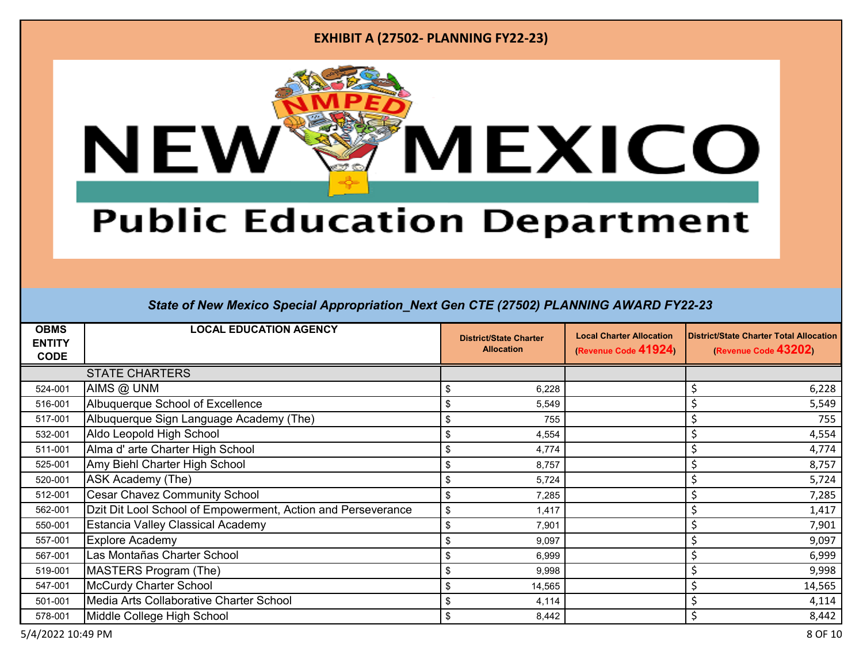

# **Public Education Department**

| <b>OBMS</b><br><b>ENTITY</b><br><b>CODE</b> | <b>LOCAL EDUCATION AGENCY</b>                                | <b>District/State Charter</b><br><b>Allocation</b> | <b>Local Charter Allocation</b><br>(Revenue Code 41924) | <b>District/State Charter Total Allocation</b><br>(Revenue Code 43202) |
|---------------------------------------------|--------------------------------------------------------------|----------------------------------------------------|---------------------------------------------------------|------------------------------------------------------------------------|
|                                             | <b>STATE CHARTERS</b>                                        |                                                    |                                                         |                                                                        |
| 524-001                                     | AIMS @ UNM                                                   | 6,228<br>Ŝ                                         |                                                         | 6,228                                                                  |
| 516-001                                     | Albuquerque School of Excellence                             | \$<br>5,549                                        |                                                         | 5,549                                                                  |
| 517-001                                     | Albuquerque Sign Language Academy (The)                      | \$<br>755                                          |                                                         | 755                                                                    |
| 532-001                                     | Aldo Leopold High School                                     | 4,554<br>Ŝ                                         |                                                         | 4,554                                                                  |
| 511-001                                     | Alma d' arte Charter High School                             | \$<br>4,774                                        |                                                         | 4,774                                                                  |
| 525-001                                     | Amy Biehl Charter High School                                | \$<br>8,757                                        |                                                         | 8,757                                                                  |
| 520-001                                     | ASK Academy (The)                                            | \$<br>5,724                                        |                                                         | 5,724                                                                  |
| 512-001                                     | <b>Cesar Chavez Community School</b>                         | \$<br>7,285                                        |                                                         | 7,285                                                                  |
| 562-001                                     | Dzit Dit Lool School of Empowerment, Action and Perseverance | \$<br>1,417                                        |                                                         | 1,417                                                                  |
| 550-001                                     | <b>Estancia Valley Classical Academy</b>                     | \$<br>7,901                                        |                                                         | 7,901                                                                  |
| 557-001                                     | <b>Explore Academy</b>                                       | 9,097<br>\$                                        |                                                         | 9,097                                                                  |
| 567-001                                     | Las Montañas Charter School                                  | \$<br>6,999                                        |                                                         | 6,999                                                                  |
| 519-001                                     | MASTERS Program (The)                                        | \$<br>9,998                                        |                                                         | 9,998                                                                  |
| 547-001                                     | <b>McCurdy Charter School</b>                                | \$<br>14,565                                       |                                                         | 14,565                                                                 |
| 501-001                                     | Media Arts Collaborative Charter School                      | 4,114<br>\$                                        |                                                         | 4,114                                                                  |
| 578-001                                     | Middle College High School                                   | \$<br>8,442                                        |                                                         | 8,442                                                                  |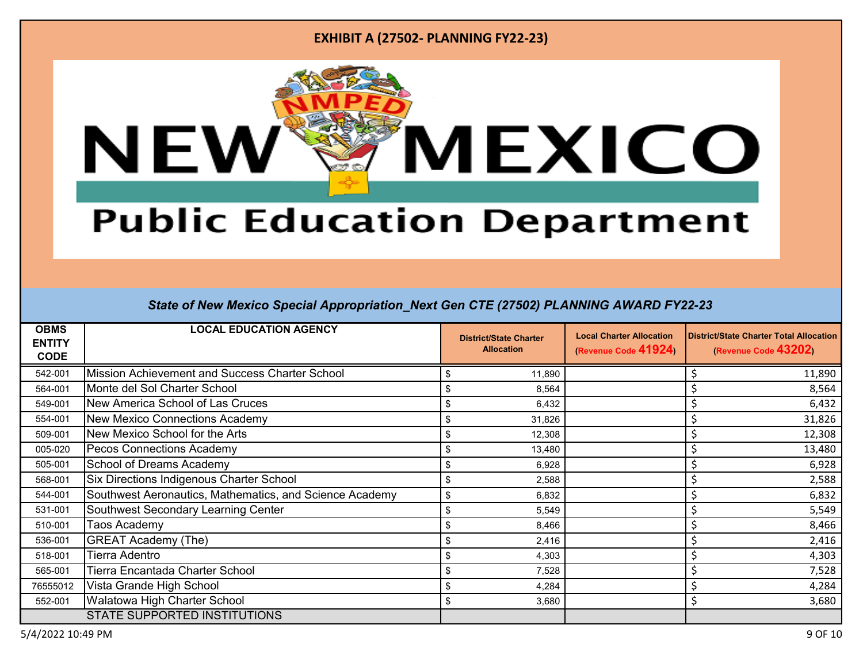

# **Public Education Department**

| <b>OBMS</b><br><b>ENTITY</b><br><b>CODE</b> | <b>LOCAL EDUCATION AGENCY</b>                           | <b>District/State Charter</b><br><b>Allocation</b> | <b>Local Charter Allocation</b><br>(Revenue Code 41924) | <b>District/State Charter Total Allocation</b><br>(Revenue Code 43202) |
|---------------------------------------------|---------------------------------------------------------|----------------------------------------------------|---------------------------------------------------------|------------------------------------------------------------------------|
| 542-001                                     | Mission Achievement and Success Charter School          | 11,890<br>-\$                                      |                                                         | 11,890                                                                 |
| 564-001                                     | Monte del Sol Charter School                            | \$<br>8,564                                        |                                                         | 8,564                                                                  |
| 549-001                                     | New America School of Las Cruces                        | 6,432<br>-\$                                       |                                                         | 6,432                                                                  |
| 554-001                                     | <b>New Mexico Connections Academy</b>                   | \$<br>31,826                                       |                                                         | 31,826                                                                 |
| 509-001                                     | New Mexico School for the Arts                          | 12,308<br>\$                                       |                                                         | 12,308                                                                 |
| 005-020                                     | Pecos Connections Academy                               | -\$<br>13,480                                      |                                                         | 13,480                                                                 |
| 505-001                                     | <b>School of Dreams Academy</b>                         | \$<br>6,928                                        |                                                         | 6,928                                                                  |
| 568-001                                     | Six Directions Indigenous Charter School                | \$<br>2,588                                        |                                                         | 2,588                                                                  |
| 544-001                                     | Southwest Aeronautics, Mathematics, and Science Academy | \$<br>6,832                                        |                                                         | 6,832                                                                  |
| 531-001                                     | Southwest Secondary Learning Center                     | \$<br>5,549                                        |                                                         | 5,549                                                                  |
| 510-001                                     | <b>Faos Academy</b>                                     | \$<br>8,466                                        |                                                         | 8,466                                                                  |
| 536-001                                     | <b>GREAT Academy (The)</b>                              | 2,416<br>\$                                        |                                                         | 2,416                                                                  |
| 518-001                                     | Tierra Adentro                                          | 4,303<br>- \$                                      |                                                         | 4,303                                                                  |
| 565-001                                     | Tierra Encantada Charter School                         | \$<br>7,528                                        |                                                         | 7,528                                                                  |
| 76555012                                    | Vista Grande High School                                | \$<br>4,284                                        |                                                         | 4,284                                                                  |
| 552-001                                     | Walatowa High Charter School                            | \$<br>3,680                                        |                                                         | 3,680                                                                  |
|                                             | <b>STATE SUPPORTED INSTITUTIONS</b>                     |                                                    |                                                         |                                                                        |